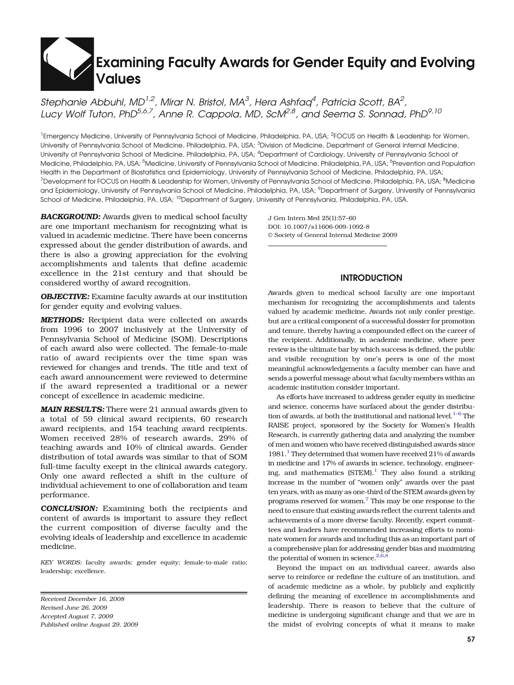# Examining Faculty Awards for Gender Equity and Evolving Values

Stephanie Abbuhl, MD<sup>1,2</sup>, Mirar N. Bristol, MA<sup>3</sup>, Hera Ashfaa<sup>4</sup>, Patricia Scott, BA<sup>2</sup>, Lucy Wolf Tuton, PhD<sup>5,6,7</sup>, Anne R. Cappola, MD, ScM<sup>2,8</sup>, and Seema S. Sonnad, PhD<sup>9,10</sup>

<sup>1</sup> Emergency Medicine, University of Pennsylvania School of Medicine, Philadelphia, PA, USA; <sup>2</sup>FOCUS on Health & Leadership for Women, University of Pennsylvania School of Medicine, Philadelphia, PA, USA; <sup>3</sup>Division of Medicine, Department of General Internal Medicine, University of Pennsylvania School of Medicine, Philadelphia, PA, USA; <sup>4</sup>Department of Cardiology, University of Pennsylvania School of Medicine, Philadelphia, PA, USA; <sup>5</sup>Medicine, University of Pennsylvania School of Medicine, Philadelphia, PA, USA; <sup>6</sup>Prevention and Population Health in the Department of Biostatistics and Epidemiology, University of Pennsylvania School of Medicine, Philadelphia, PA, USA; <sup>7</sup>Development for FOCUS on Health & Leadership for Women, University of Pennsylvania School of Medicine, Philadelphia, PA, USA; <sup>8</sup>Medicine and Epidemiology, University of Pennsylvania School of Medicine, Philadelphia, PA, USA; <sup>9</sup>Department of Surgery, University of Pennsylvania School of Medicine, Philadelphia, PA, USA; <sup>10</sup>Department of Surgery, University of Pennsylvania, Philadelphia, PA, USA.

**BACKGROUND:** Awards given to medical school faculty are one important mechanism for recognizing what is valued in academic medicine. There have been concerns expressed about the gender distribution of awards, and there is also a growing appreciation for the evolving accomplishments and talents that define academic excellence in the 21st century and that should be considered worthy of award recognition.

**OBJECTIVE:** Examine faculty awards at our institution for gender equity and evolving values.

METHODS: Recipient data were collected on awards from 1996 to 2007 inclusively at the University of Pennsylvania School of Medicine (SOM). Descriptions of each award also were collected. The female-to-male ratio of award recipients over the time span was reviewed for changes and trends. The title and text of each award announcement were reviewed to determine if the award represented a traditional or a newer concept of excellence in academic medicine.

**MAIN RESULTS:** There were 21 annual awards given to a total of 59 clinical award recipients, 60 research award recipients, and 154 teaching award recipients. Women received 28% of research awards, 29% of teaching awards and 10% of clinical awards. Gender distribution of total awards was similar to that of SOM full-time faculty except in the clinical awards category. Only one award reflected a shift in the culture of individual achievement to one of collaboration and team performance.

CONCLUSION: Examining both the recipients and content of awards is important to assure they reflect the current composition of diverse faculty and the evolving ideals of leadership and excellence in academic medicine.

KEY WORDS: faculty awards; gender equity; female-to-male ratio; leadership; excellence.

Received December 16, 2008 Revised June 26, 2009 Accepted August 7, 2009 Published online August 29, 2009 J Gen Intern Med 25(1):57–60 DOI: 10.1007/s11606-009-1092-8 © Society of General Internal Medicine 2009

## INTRODUCTION

Awards given to medical school faculty are one important mechanism for recognizing the accomplishments and talents valued by academic medicine. Awards not only confer prestige, but are a critical component of a successful dossier for promotion and tenure, thereby having a compounded effect on the career of the recipient. Additionally, in academic medicine, where peer review is the ultimate bar by which success is defined, the public and visible recognition by one's peers is one of the most meaningful acknowledgements a faculty member can have and sends a powerful message about what faculty members within an academic institution consider important.

As efforts have increased to address gender equity in medicine and science, concerns have surfaced about the gender distribution of awards, at both the institutional and national level. $1-6$  $1-6$  The RAISE project, sponsored by the Society for Women's Health Research, is currently gathering data and analyzing the number of men and women who have received distinguished awards since  $1981<sup>1</sup>$  They determined that women have received 21% of awards in medicine and 17% of awards in science, technology, engineering, and mathematics  $(STEM).<sup>1</sup>$  They also found a striking increase in the number of "women only" awards over the past ten years, with as many as one-third of the STEM awards given by programs reserved for women[.7](#page-3-0) This may be one response to the need to ensure that existing awards reflect the current talents and achievements of a more diverse faculty. Recently, expert committees and leaders have recommended increasing efforts to nominate women for awards and including this as an important part of a comprehensive plan for addressing gender bias and maximizing the potential of women in science. $2,6,8$  $2,6,8$ 

Beyond the impact on an individual career, awards also serve to reinforce or redefine the culture of an institution, and of academic medicine as a whole, by publicly and explicitly defining the meaning of excellence in accomplishments and leadership. There is reason to believe that the culture of medicine is undergoing significant change and that we are in the midst of evolving concepts of what it means to make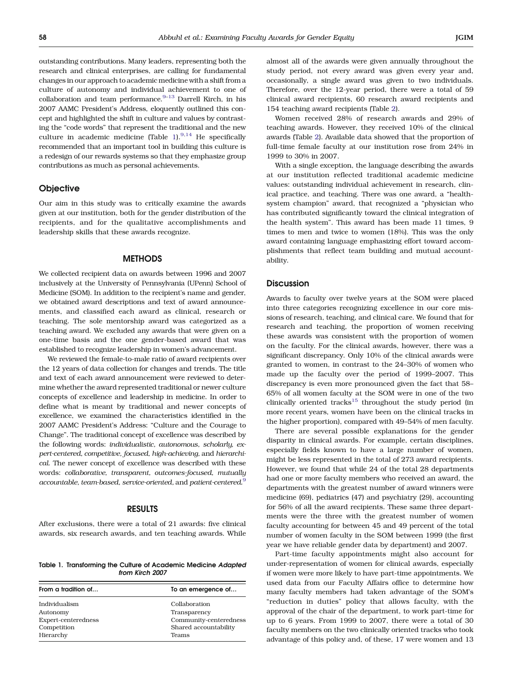outstanding contributions. Many leaders, representing both the research and clinical enterprises, are calling for fundamental changes in our approach to academic medicine with a shift from a culture of autonomy and individual achievement to one of collaboration and team performance.<sup>[9](#page-3-0)-[13](#page-3-0)</sup> Darrell Kirch, in his 2007 AAMC President's Address, eloquently outlined this concept and highlighted the shift in culture and values by contrasting the "code words" that represent the traditional and the new culture in academic medicine (Table 1). $9,14$  He specifically recommended that an important tool in building this culture is a redesign of our rewards systems so that they emphasize group contributions as much as personal achievements.

### **Objective**

Our aim in this study was to critically examine the awards given at our institution, both for the gender distribution of the recipients, and for the qualitative accomplishments and leadership skills that these awards recognize.

### **METHODS**

We collected recipient data on awards between 1996 and 2007 inclusively at the University of Pennsylvania (UPenn) School of Medicine (SOM). In addition to the recipient's name and gender, we obtained award descriptions and text of award announcements, and classified each award as clinical, research or teaching. The sole mentorship award was categorized as a teaching award. We excluded any awards that were given on a one-time basis and the one gender-based award that was established to recognize leadership in women's advancement.

We reviewed the female-to-male ratio of award recipients over the 12 years of data collection for changes and trends. The title and text of each award announcement were reviewed to determine whether the award represented traditional or newer culture concepts of excellence and leadership in medicine. In order to define what is meant by traditional and newer concepts of excellence, we examined the characteristics identified in the 2007 AAMC President's Address: "Culture and the Courage to Change". The traditional concept of excellence was described by the following words: individualistic, autonomous, scholarly, expert-centered, competitive, focused, high-achieving, and hierarchical. The newer concept of excellence was described with these words: collaborative, transparent, outcomes-focused, mutually accountable, team-based, service-oriented, and patient-centered.<sup>[9](#page-3-0)</sup>

#### RESULTS

After exclusions, there were a total of 21 awards: five clinical awards, six research awards, and ten teaching awards. While

Table 1. Transforming the Culture of Academic Medicine Adapted from Kirch 2007

| From a tradition of                                             | To an emergence of                                                               |  |  |
|-----------------------------------------------------------------|----------------------------------------------------------------------------------|--|--|
| Individualism<br>Autonomy<br>Expert-centeredness<br>Competition | Collaboration<br>Transparency<br>Community-centeredness<br>Shared accountability |  |  |
| Hierarchy                                                       | Teams                                                                            |  |  |

almost all of the awards were given annually throughout the study period, not every award was given every year and, occasionally, a single award was given to two individuals. Therefore, over the 12-year period, there were a total of 59 clinical award recipients, 60 research award recipients and 154 teaching award recipients (Table [2](#page-2-0)).

Women received 28% of research awards and 29% of teaching awards. However, they received 10% of the clinical awards (Table [2\)](#page-2-0). Available data showed that the proportion of full-time female faculty at our institution rose from 24% in 1999 to 30% in 2007.

With a single exception, the language describing the awards at our institution reflected traditional academic medicine values: outstanding individual achievement in research, clinical practice, and teaching. There was one award, a "healthsystem champion" award, that recognized a "physician who has contributed significantly toward the clinical integration of the health system". This award has been made 11 times, 9 times to men and twice to women (18%). This was the only award containing language emphasizing effort toward accomplishments that reflect team building and mutual accountability.

## **Discussion**

Awards to faculty over twelve years at the SOM were placed into three categories recognizing excellence in our core missions of research, teaching, and clinical care. We found that for research and teaching, the proportion of women receiving these awards was consistent with the proportion of women on the faculty. For the clinical awards, however, there was a significant discrepancy. Only 10% of the clinical awards were granted to women, in contrast to the 24–30% of women who made up the faculty over the period of 1999–2007. This discrepancy is even more pronounced given the fact that 58– 65% of all women faculty at the SOM were in one of the two clinically oriented tracks<sup>15</sup> throughout the study period (in more recent years, women have been on the clinical tracks in the higher proportion), compared with 49–54% of men faculty.

There are several possible explanations for the gender disparity in clinical awards. For example, certain disciplines, especially fields known to have a large number of women, might be less represented in the total of 273 award recipients. However, we found that while 24 of the total 28 departments had one or more faculty members who received an award, the departments with the greatest number of award winners were medicine (69), pediatrics (47) and psychiatry (29), accounting for 56% of all the award recipients. These same three departments were the three with the greatest number of women faculty accounting for between 45 and 49 percent of the total number of women faculty in the SOM between 1999 (the first year we have reliable gender data by department) and 2007.

Part-time faculty appointments might also account for under-representation of women for clinical awards, especially if women were more likely to have part-time appointments. We used data from our Faculty Affairs office to determine how many faculty members had taken advantage of the SOM's "reduction in duties" policy that allows faculty, with the approval of the chair of the department, to work part-time for up to 6 years. From 1999 to 2007, there were a total of 30 faculty members on the two clinically oriented tracks who took advantage of this policy and, of these, 17 were women and 13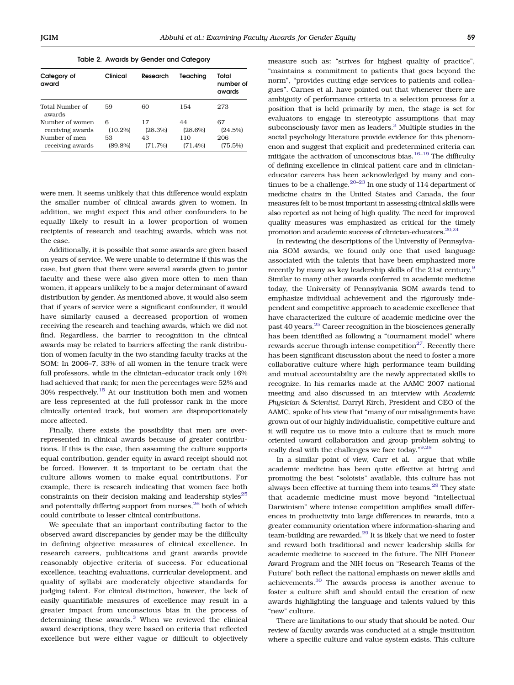Table 2. Awards by Gender and Category

<span id="page-2-0"></span>

| Category of<br>award      | Clinical   | Research | Teachina   | Total<br>number of<br>awards |
|---------------------------|------------|----------|------------|------------------------------|
| Total Number of<br>awards | 59         | 60       | 154        | 273                          |
| Number of women           | 6          | 17       | 44         | 67                           |
| receiving awards          | $(10.2\%)$ | (28.3%)  | $(28.6\%)$ | (24.5%)                      |
| Number of men             | 53         | 43       | 110        | 206                          |
| receiving awards          | $(89.8\%)$ | (71.7%)  | (71.4%)    | $(75.5\%)$                   |

were men. It seems unlikely that this difference would explain the smaller number of clinical awards given to women. In addition, we might expect this and other confounders to be equally likely to result in a lower proportion of women recipients of research and teaching awards, which was not the case.

Additionally, it is possible that some awards are given based on years of service. We were unable to determine if this was the case, but given that there were several awards given to junior faculty and these were also given more often to men than women, it appears unlikely to be a major determinant of award distribution by gender. As mentioned above, it would also seem that if years of service were a significant confounder, it would have similarly caused a decreased proportion of women receiving the research and teaching awards, which we did not find. Regardless, the barrier to recognition in the clinical awards may be related to barriers affecting the rank distribution of women faculty in the two standing faculty tracks at the SOM: In 2006–7, 33% of all women in the tenure track were full professors, while in the clinician–educator track only 16% had achieved that rank; for men the percentages were 52% and 30% respectively.[15](#page-3-0) At our institution both men and women are less represented at the full professor rank in the more clinically oriented track, but women are disproportionately more affected.

Finally, there exists the possibility that men are overrepresented in clinical awards because of greater contributions. If this is the case, then assuming the culture supports equal contribution, gender equity in award receipt should not be forced. However, it is important to be certain that the culture allows women to make equal contributions. For example, there is research indicating that women face both constraints on their decision making and leadership styles $^{25}$  $^{25}$  $^{25}$ and potentially differing support from nurses, $26$  both of which could contribute to lesser clinical contributions.

We speculate that an important contributing factor to the observed award discrepancies by gender may be the difficulty in defining objective measures of clinical excellence. In research careers, publications and grant awards provide reasonably objective criteria of success. For educational excellence, teaching evaluations, curricular development, and quality of syllabi are moderately objective standards for judging talent. For clinical distinction, however, the lack of easily quantifiable measures of excellence may result in a greater impact from unconscious bias in the process of determining these awards.<sup>[3](#page-3-0)</sup> When we reviewed the clinical award descriptions, they were based on criteria that reflected excellence but were either vague or difficult to objectively

measure such as: "strives for highest quality of practice", "maintains a commitment to patients that goes beyond the norm", "provides cutting edge services to patients and colleagues". Carnes et al. have pointed out that whenever there are ambiguity of performance criteria in a selection process for a position that is held primarily by men, the stage is set for evaluators to engage in stereotypic assumptions that may subconsciously favor men as leaders.<sup>[3](#page-3-0)</sup> Multiple studies in the social psychology literature provide evidence for this phenomenon and suggest that explicit and predetermined criteria can mitigate the activation of unconscious bias. $16-19$  $16-19$  $16-19$  The difficulty of defining excellence in clinical patient care and in clinicianeducator careers has been acknowledged by many and con-tinues to be a challenge.<sup>[20](#page-3-0)–[23](#page-3-0)</sup> In one study of 114 department of medicine chairs in the United States and Canada, the four measures felt to be most important in assessing clinical skills were also reported as not being of high quality. The need for improved quality measures was emphasized as critical for the timely promotion and academic success of clinician-educators.  $20,24$ 

In reviewing the descriptions of the University of Pennsylvania SOM awards, we found only one that used language associated with the talents that have been emphasized more recently by many as key leadership skills of the 21st century.<sup>[9](#page-3-0)</sup> Similar to many other awards conferred in academic medicine today, the University of Pennsylvania SOM awards tend to emphasize individual achievement and the rigorously independent and competitive approach to academic excellence that have characterized the culture of academic medicine over the past 40 years.[25](#page-3-0) Career recognition in the biosciences generally has been identified as following a "tournament model" where rewards accrue through intense competition $27$ . Recently there has been significant discussion about the need to foster a more collaborative culture where high performance team building and mutual accountability are the newly appreciated skills to recognize. In his remarks made at the AAMC 2007 national meeting and also discussed in an interview with Academic Physician & Scientist, Darryl Kirch, President and CEO of the AAMC, spoke of his view that "many of our misalignments have grown out of our highly individualistic, competitive culture and it will require us to move into a culture that is much more oriented toward collaboration and group problem solving to really deal with the challenges we face today."<sup>[9,28](#page-3-0)</sup>

In a similar point of view, Carr et al. argue that while academic medicine has been quite effective at hiring and promoting the best "soloists" available, this culture has not always been effective at turning them into teams.<sup>[29](#page-3-0)</sup> They state that academic medicine must move beyond "intellectual Darwinism" where intense competition amplifies small differences in productivity into large differences in rewards, into a greater community orientation where information-sharing and team-building are rewarded.<sup>[29](#page-3-0)</sup> It is likely that we need to foster and reward both traditional and newer leadership skills for academic medicine to succeed in the future. The NIH Pioneer Award Program and the NIH focus on "Research Teams of the Future" both reflect the national emphasis on newer skills and achievements.[30](#page-3-0) The awards process is another avenue to foster a culture shift and should entail the creation of new awards highlighting the language and talents valued by this "new" culture.

There are limitations to our study that should be noted. Our review of faculty awards was conducted at a single institution where a specific culture and value system exists. This culture